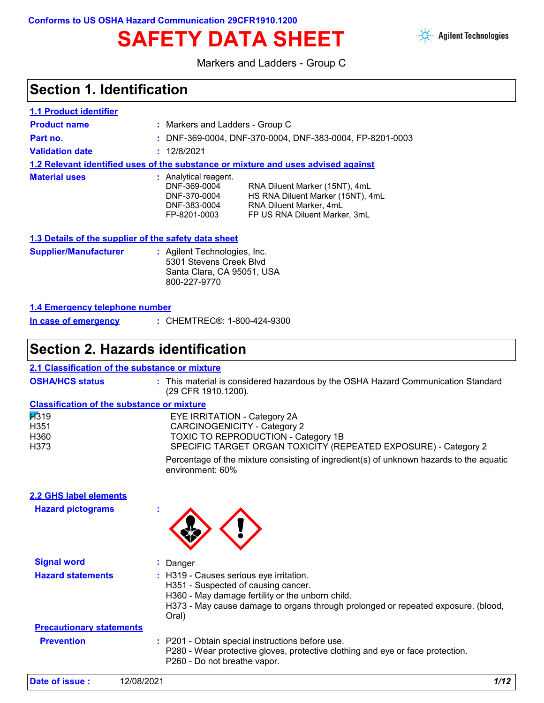**Conforms to US OSHA Hazard Communication 29CFR1910.1200**

# SAFETY DATA SHEET **Agilent Technologies**



Markers and Ladders - Group C

### **Section 1. Identification**

| <b>1.1 Product identifier</b> |                                                                                       |                                                                                                                                 |
|-------------------------------|---------------------------------------------------------------------------------------|---------------------------------------------------------------------------------------------------------------------------------|
| <b>Product name</b>           | : Markers and Ladders - Group C                                                       |                                                                                                                                 |
| Part no.                      |                                                                                       | : DNF-369-0004, DNF-370-0004, DNF-383-0004, FP-8201-0003                                                                        |
| <b>Validation date</b>        | : 12/8/2021                                                                           |                                                                                                                                 |
|                               |                                                                                       | 1.2 Relevant identified uses of the substance or mixture and uses advised against                                               |
| <b>Material uses</b>          | : Analytical reagent.<br>DNF-369-0004<br>DNF-370-0004<br>DNF-383-0004<br>FP-8201-0003 | RNA Diluent Marker (15NT), 4mL<br>HS RNA Diluent Marker (15NT), 4mL<br>RNA Diluent Marker, 4mL<br>FP US RNA Diluent Marker, 3mL |

#### **1.3 Details of the supplier of the safety data sheet**

| <b>Supplier/Manufacturer</b> | : Agilent Technologies, Inc.<br>5301 Stevens Creek Blyd |
|------------------------------|---------------------------------------------------------|
|                              | Santa Clara, CA 95051, USA<br>800-227-9770              |

#### **1.4 Emergency telephone number**

| : CHEMTREC®: 1-800-424-9300<br>In case of emergency |
|-----------------------------------------------------|
|-----------------------------------------------------|

### **Section 2. Hazards identification**

| 2.1 Classification of the substance or mixture    |                                                                                                                                                                                                                                  |
|---------------------------------------------------|----------------------------------------------------------------------------------------------------------------------------------------------------------------------------------------------------------------------------------|
| <b>OSHA/HCS status</b>                            | : This material is considered hazardous by the OSHA Hazard Communication Standard<br>(29 CFR 1910.1200).                                                                                                                         |
| <b>Classification of the substance or mixture</b> |                                                                                                                                                                                                                                  |
| $\cancel{1319}$<br>H351<br>H360<br>H373           | <b>EYE IRRITATION - Category 2A</b><br><b>CARCINOGENICITY - Category 2</b><br><b>TOXIC TO REPRODUCTION - Category 1B</b><br>SPECIFIC TARGET ORGAN TOXICITY (REPEATED EXPOSURE) - Category 2                                      |
|                                                   | Percentage of the mixture consisting of ingredient(s) of unknown hazards to the aquatic<br>environment: 60%                                                                                                                      |
| <b>2.2 GHS label elements</b>                     |                                                                                                                                                                                                                                  |
| <b>Hazard pictograms</b>                          |                                                                                                                                                                                                                                  |
| <b>Signal word</b>                                | Danger                                                                                                                                                                                                                           |
| <b>Hazard statements</b>                          | : H319 - Causes serious eye irritation.<br>H351 - Suspected of causing cancer.<br>H360 - May damage fertility or the unborn child.<br>H373 - May cause damage to organs through prolonged or repeated exposure. (blood,<br>Oral) |
| <b>Precautionary statements</b>                   |                                                                                                                                                                                                                                  |
| <b>Prevention</b>                                 | : P201 - Obtain special instructions before use.<br>P280 - Wear protective gloves, protective clothing and eye or face protection.<br>P260 - Do not breathe vapor.                                                               |
| Date of issue:                                    | 1/12<br>12/08/2021                                                                                                                                                                                                               |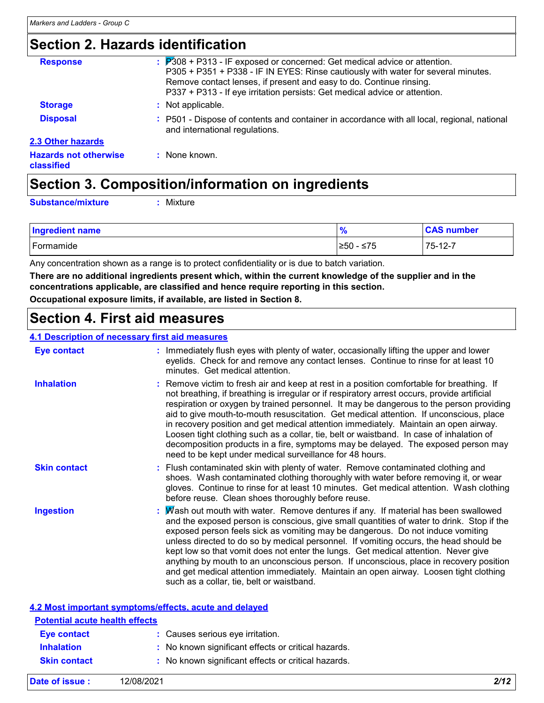### **Section 2. Hazards identification**

| <b>Response</b>                            | $\therefore$ $P308 + P313$ - IF exposed or concerned: Get medical advice or attention.<br>P305 + P351 + P338 - IF IN EYES: Rinse cautiously with water for several minutes.<br>Remove contact lenses, if present and easy to do. Continue rinsing.<br>P337 + P313 - If eye irritation persists: Get medical advice or attention. |
|--------------------------------------------|----------------------------------------------------------------------------------------------------------------------------------------------------------------------------------------------------------------------------------------------------------------------------------------------------------------------------------|
| <b>Storage</b>                             | : Not applicable.                                                                                                                                                                                                                                                                                                                |
| <b>Disposal</b>                            | P501 - Dispose of contents and container in accordance with all local, regional, national<br>and international regulations.                                                                                                                                                                                                      |
| 2.3 Other hazards                          |                                                                                                                                                                                                                                                                                                                                  |
| <b>Hazards not otherwise</b><br>classified | : None known.                                                                                                                                                                                                                                                                                                                    |
|                                            |                                                                                                                                                                                                                                                                                                                                  |

### **Section 3. Composition/information on ingredients**

**Substance/mixture :**

Mixture

| <b>Ingredient name</b> | -70        | <b>CAS number</b> |
|------------------------|------------|-------------------|
| Formamide              | ≥50<br>≤75 | 75-12-7           |

Any concentration shown as a range is to protect confidentiality or is due to batch variation.

**There are no additional ingredients present which, within the current knowledge of the supplier and in the concentrations applicable, are classified and hence require reporting in this section.**

**Occupational exposure limits, if available, are listed in Section 8.**

### **Section 4. First aid measures**

#### **4.1 Description of necessary first aid measures**

| <b>Eye contact</b>                    | : Immediately flush eyes with plenty of water, occasionally lifting the upper and lower<br>eyelids. Check for and remove any contact lenses. Continue to rinse for at least 10<br>minutes. Get medical attention.                                                                                                                                                                                                                                                                                                                                                                                                                                                                                                   |
|---------------------------------------|---------------------------------------------------------------------------------------------------------------------------------------------------------------------------------------------------------------------------------------------------------------------------------------------------------------------------------------------------------------------------------------------------------------------------------------------------------------------------------------------------------------------------------------------------------------------------------------------------------------------------------------------------------------------------------------------------------------------|
| <b>Inhalation</b>                     | : Remove victim to fresh air and keep at rest in a position comfortable for breathing. If<br>not breathing, if breathing is irregular or if respiratory arrest occurs, provide artificial<br>respiration or oxygen by trained personnel. It may be dangerous to the person providing<br>aid to give mouth-to-mouth resuscitation. Get medical attention. If unconscious, place<br>in recovery position and get medical attention immediately. Maintain an open airway.<br>Loosen tight clothing such as a collar, tie, belt or waistband. In case of inhalation of<br>decomposition products in a fire, symptoms may be delayed. The exposed person may<br>need to be kept under medical surveillance for 48 hours. |
| <b>Skin contact</b>                   | : Flush contaminated skin with plenty of water. Remove contaminated clothing and<br>shoes. Wash contaminated clothing thoroughly with water before removing it, or wear<br>gloves. Continue to rinse for at least 10 minutes. Get medical attention. Wash clothing<br>before reuse. Clean shoes thoroughly before reuse.                                                                                                                                                                                                                                                                                                                                                                                            |
| <b>Ingestion</b>                      | : $\mathsf{W}$ ash out mouth with water. Remove dentures if any. If material has been swallowed<br>and the exposed person is conscious, give small quantities of water to drink. Stop if the<br>exposed person feels sick as vomiting may be dangerous. Do not induce vomiting<br>unless directed to do so by medical personnel. If vomiting occurs, the head should be<br>kept low so that vomit does not enter the lungs. Get medical attention. Never give<br>anything by mouth to an unconscious person. If unconscious, place in recovery position<br>and get medical attention immediately. Maintain an open airway. Loosen tight clothing<br>such as a collar, tie, belt or waistband.                       |
|                                       | 4.2 Most important symptoms/effects, acute and delayed                                                                                                                                                                                                                                                                                                                                                                                                                                                                                                                                                                                                                                                              |
| <b>Potential acute health effects</b> |                                                                                                                                                                                                                                                                                                                                                                                                                                                                                                                                                                                                                                                                                                                     |
| Eye contact                           | Causes serious eye irritation.                                                                                                                                                                                                                                                                                                                                                                                                                                                                                                                                                                                                                                                                                      |

| Inhalation          | : No known significant effects or critical hazards. |  |  |
|---------------------|-----------------------------------------------------|--|--|
| <b>Skin contact</b> | : No known significant effects or critical hazards. |  |  |

| <b>ONIII COIILACL</b> | . NO KIJOWIT SIGHIJICAHL EHECLS OF CHUCAL H |
|-----------------------|---------------------------------------------|
|                       |                                             |

|  |  | 2/12 |
|--|--|------|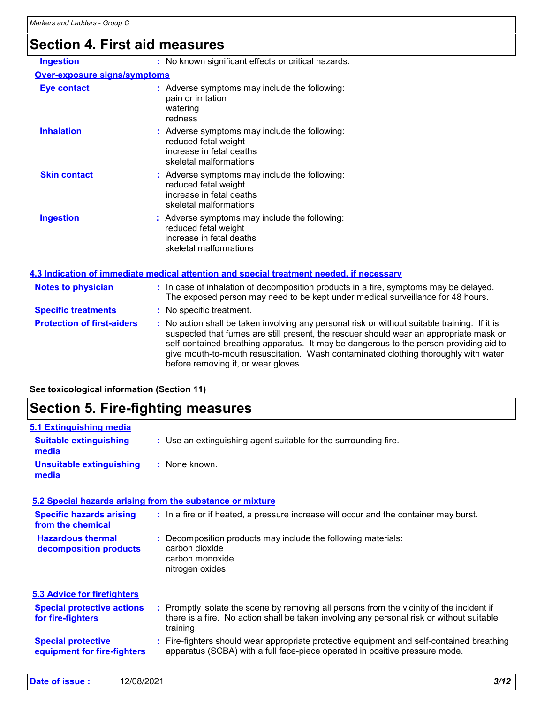## **Section 4. First aid measures**

| <b>Ingestion</b>                    | : No known significant effects or critical hazards.                                                                                                                                                                                                                                                                                                                                                             |
|-------------------------------------|-----------------------------------------------------------------------------------------------------------------------------------------------------------------------------------------------------------------------------------------------------------------------------------------------------------------------------------------------------------------------------------------------------------------|
|                                     |                                                                                                                                                                                                                                                                                                                                                                                                                 |
| <b>Over-exposure signs/symptoms</b> |                                                                                                                                                                                                                                                                                                                                                                                                                 |
| <b>Eye contact</b>                  | : Adverse symptoms may include the following:<br>pain or irritation<br>watering<br>redness                                                                                                                                                                                                                                                                                                                      |
| <b>Inhalation</b>                   | : Adverse symptoms may include the following:<br>reduced fetal weight<br>increase in fetal deaths<br>skeletal malformations                                                                                                                                                                                                                                                                                     |
| <b>Skin contact</b>                 | : Adverse symptoms may include the following:<br>reduced fetal weight<br>increase in fetal deaths<br>skeletal malformations                                                                                                                                                                                                                                                                                     |
| <b>Ingestion</b>                    | : Adverse symptoms may include the following:<br>reduced fetal weight<br>increase in fetal deaths<br>skeletal malformations                                                                                                                                                                                                                                                                                     |
|                                     | 4.3 Indication of immediate medical attention and special treatment needed, if necessary                                                                                                                                                                                                                                                                                                                        |
| <b>Notes to physician</b>           | : In case of inhalation of decomposition products in a fire, symptoms may be delayed.<br>The exposed person may need to be kept under medical surveillance for 48 hours.                                                                                                                                                                                                                                        |
| <b>Specific treatments</b>          | : No specific treatment.                                                                                                                                                                                                                                                                                                                                                                                        |
| <b>Protection of first-aiders</b>   | : No action shall be taken involving any personal risk or without suitable training. If it is<br>suspected that fumes are still present, the rescuer should wear an appropriate mask or<br>self-contained breathing apparatus. It may be dangerous to the person providing aid to<br>give mouth-to-mouth resuscitation. Wash contaminated clothing thoroughly with water<br>before removing it, or wear gloves. |

#### **See toxicological information (Section 11)**

### **Section 5. Fire-fighting measures**

| 5.1 Extinguishing media                                  |                                                                                                                                                                                                     |
|----------------------------------------------------------|-----------------------------------------------------------------------------------------------------------------------------------------------------------------------------------------------------|
| <b>Suitable extinguishing</b><br>media                   | : Use an extinguishing agent suitable for the surrounding fire.                                                                                                                                     |
| <b>Unsuitable extinguishing</b><br>media                 | : None known.                                                                                                                                                                                       |
|                                                          | 5.2 Special hazards arising from the substance or mixture                                                                                                                                           |
| <b>Specific hazards arising</b><br>from the chemical     | : In a fire or if heated, a pressure increase will occur and the container may burst.                                                                                                               |
| <b>Hazardous thermal</b><br>decomposition products       | Decomposition products may include the following materials:<br>carbon dioxide<br>carbon monoxide<br>nitrogen oxides                                                                                 |
| 5.3 Advice for firefighters                              |                                                                                                                                                                                                     |
| <b>Special protective actions</b><br>for fire-fighters   | : Promptly isolate the scene by removing all persons from the vicinity of the incident if<br>there is a fire. No action shall be taken involving any personal risk or without suitable<br>training. |
| <b>Special protective</b><br>equipment for fire-fighters | : Fire-fighters should wear appropriate protective equipment and self-contained breathing<br>apparatus (SCBA) with a full face-piece operated in positive pressure mode.                            |
|                                                          |                                                                                                                                                                                                     |

| Date of issue : | 12/08/2021 |  | 3/12 |
|-----------------|------------|--|------|
|-----------------|------------|--|------|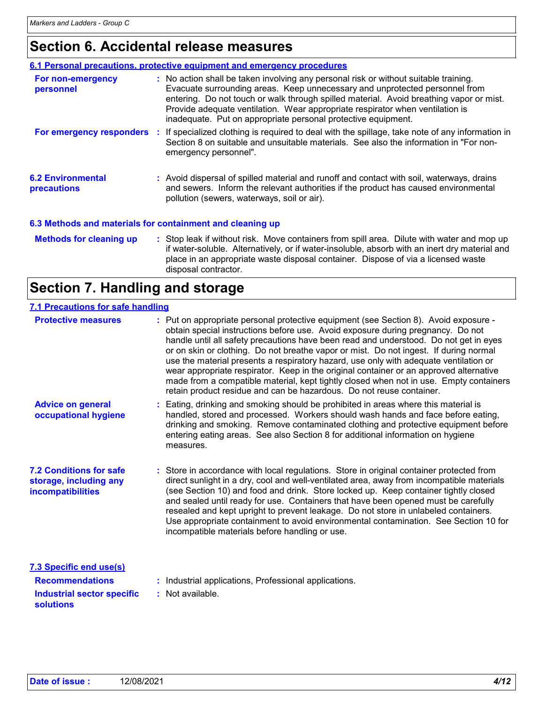### **Section 6. Accidental release measures**

|                                         | 6.1 Personal precautions, protective equipment and emergency procedures                                                                                                                                                                                                                                                                                                                                          |
|-----------------------------------------|------------------------------------------------------------------------------------------------------------------------------------------------------------------------------------------------------------------------------------------------------------------------------------------------------------------------------------------------------------------------------------------------------------------|
| For non-emergency<br>personnel          | : No action shall be taken involving any personal risk or without suitable training.<br>Evacuate surrounding areas. Keep unnecessary and unprotected personnel from<br>entering. Do not touch or walk through spilled material. Avoid breathing vapor or mist.<br>Provide adequate ventilation. Wear appropriate respirator when ventilation is<br>inadequate. Put on appropriate personal protective equipment. |
| For emergency responders                | : If specialized clothing is required to deal with the spillage, take note of any information in<br>Section 8 on suitable and unsuitable materials. See also the information in "For non-<br>emergency personnel".                                                                                                                                                                                               |
| <b>6.2 Environmental</b><br>precautions | : Avoid dispersal of spilled material and runoff and contact with soil, waterways, drains<br>and sewers. Inform the relevant authorities if the product has caused environmental<br>pollution (sewers, waterways, soil or air).                                                                                                                                                                                  |
|                                         | 6.3 Methods and materials for containment and cleaning up                                                                                                                                                                                                                                                                                                                                                        |
| <b>Methods for cleaning up</b>          | : Stop leak if without risk. Move containers from spill area. Dilute with water and mop up<br>if water-soluble. Alternatively, or if water-insoluble, absorb with an inert dry material and<br>place in an appropriate waste disposal container. Dispose of via a licensed waste<br>disposal contractor.                                                                                                         |

### **Section 7. Handling and storage**

#### **7.1 Precautions for safe handling**

| <b>Protective measures</b>                                                                                        | : Put on appropriate personal protective equipment (see Section 8). Avoid exposure -<br>obtain special instructions before use. Avoid exposure during pregnancy. Do not<br>handle until all safety precautions have been read and understood. Do not get in eyes<br>or on skin or clothing. Do not breathe vapor or mist. Do not ingest. If during normal<br>use the material presents a respiratory hazard, use only with adequate ventilation or<br>wear appropriate respirator. Keep in the original container or an approved alternative<br>made from a compatible material, kept tightly closed when not in use. Empty containers<br>retain product residue and can be hazardous. Do not reuse container. |  |
|-------------------------------------------------------------------------------------------------------------------|----------------------------------------------------------------------------------------------------------------------------------------------------------------------------------------------------------------------------------------------------------------------------------------------------------------------------------------------------------------------------------------------------------------------------------------------------------------------------------------------------------------------------------------------------------------------------------------------------------------------------------------------------------------------------------------------------------------|--|
| <b>Advice on general</b><br>occupational hygiene                                                                  | Eating, drinking and smoking should be prohibited in areas where this material is<br>handled, stored and processed. Workers should wash hands and face before eating,<br>drinking and smoking. Remove contaminated clothing and protective equipment before<br>entering eating areas. See also Section 8 for additional information on hygiene<br>measures.                                                                                                                                                                                                                                                                                                                                                    |  |
| <b>7.2 Conditions for safe</b><br>storage, including any<br>incompatibilities                                     | : Store in accordance with local regulations. Store in original container protected from<br>direct sunlight in a dry, cool and well-ventilated area, away from incompatible materials<br>(see Section 10) and food and drink. Store locked up. Keep container tightly closed<br>and sealed until ready for use. Containers that have been opened must be carefully<br>resealed and kept upright to prevent leakage. Do not store in unlabeled containers.<br>Use appropriate containment to avoid environmental contamination. See Section 10 for<br>incompatible materials before handling or use.                                                                                                            |  |
| <b>7.3 Specific end use(s)</b><br><b>Recommendations</b><br><b>Industrial sector specific</b><br><b>solutions</b> | Industrial applications, Professional applications.<br>: Not available.                                                                                                                                                                                                                                                                                                                                                                                                                                                                                                                                                                                                                                        |  |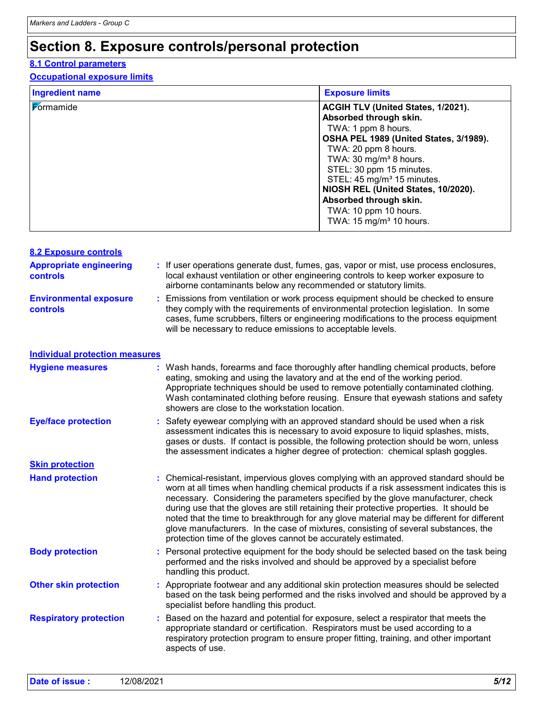### **Section 8. Exposure controls/personal protection**

#### **8.1 Control parameters**

#### **Occupational exposure limits**

| <b>Ingredient name</b> | <b>Exposure limits</b>                                                                                                                                                                                                                                                                                                                                                                            |
|------------------------|---------------------------------------------------------------------------------------------------------------------------------------------------------------------------------------------------------------------------------------------------------------------------------------------------------------------------------------------------------------------------------------------------|
| Formamide              | ACGIH TLV (United States, 1/2021).<br>Absorbed through skin.<br>TWA: 1 ppm 8 hours.<br>OSHA PEL 1989 (United States, 3/1989).<br>TWA: 20 ppm 8 hours.<br>TWA: 30 mg/m <sup>3</sup> 8 hours.<br>STEL: 30 ppm 15 minutes.<br>STEL: 45 mg/m <sup>3</sup> 15 minutes.<br>NIOSH REL (United States, 10/2020).<br>Absorbed through skin.<br>TWA: 10 ppm 10 hours.<br>TWA: $15 \text{ mg/m}^3$ 10 hours. |

| <b>8.2 Exposure controls</b>                     |    |                                                                                                                                                                                                                                                                                                                                                                                                                                                                                                                                                                                                                        |
|--------------------------------------------------|----|------------------------------------------------------------------------------------------------------------------------------------------------------------------------------------------------------------------------------------------------------------------------------------------------------------------------------------------------------------------------------------------------------------------------------------------------------------------------------------------------------------------------------------------------------------------------------------------------------------------------|
| <b>Appropriate engineering</b><br>controls       |    | : If user operations generate dust, fumes, gas, vapor or mist, use process enclosures,<br>local exhaust ventilation or other engineering controls to keep worker exposure to<br>airborne contaminants below any recommended or statutory limits.                                                                                                                                                                                                                                                                                                                                                                       |
| <b>Environmental exposure</b><br><b>controls</b> | t. | Emissions from ventilation or work process equipment should be checked to ensure<br>they comply with the requirements of environmental protection legislation. In some<br>cases, fume scrubbers, filters or engineering modifications to the process equipment<br>will be necessary to reduce emissions to acceptable levels.                                                                                                                                                                                                                                                                                          |
| <b>Individual protection measures</b>            |    |                                                                                                                                                                                                                                                                                                                                                                                                                                                                                                                                                                                                                        |
| <b>Hygiene measures</b>                          |    | : Wash hands, forearms and face thoroughly after handling chemical products, before<br>eating, smoking and using the lavatory and at the end of the working period.<br>Appropriate techniques should be used to remove potentially contaminated clothing.<br>Wash contaminated clothing before reusing. Ensure that eyewash stations and safety<br>showers are close to the workstation location.                                                                                                                                                                                                                      |
| <b>Eye/face protection</b>                       |    | : Safety eyewear complying with an approved standard should be used when a risk<br>assessment indicates this is necessary to avoid exposure to liquid splashes, mists,<br>gases or dusts. If contact is possible, the following protection should be worn, unless<br>the assessment indicates a higher degree of protection: chemical splash goggles.                                                                                                                                                                                                                                                                  |
| <b>Skin protection</b>                           |    |                                                                                                                                                                                                                                                                                                                                                                                                                                                                                                                                                                                                                        |
| <b>Hand protection</b>                           |    | : Chemical-resistant, impervious gloves complying with an approved standard should be<br>worn at all times when handling chemical products if a risk assessment indicates this is<br>necessary. Considering the parameters specified by the glove manufacturer, check<br>during use that the gloves are still retaining their protective properties. It should be<br>noted that the time to breakthrough for any glove material may be different for different<br>glove manufacturers. In the case of mixtures, consisting of several substances, the<br>protection time of the gloves cannot be accurately estimated. |
| <b>Body protection</b>                           |    | : Personal protective equipment for the body should be selected based on the task being<br>performed and the risks involved and should be approved by a specialist before<br>handling this product.                                                                                                                                                                                                                                                                                                                                                                                                                    |
| <b>Other skin protection</b>                     |    | : Appropriate footwear and any additional skin protection measures should be selected<br>based on the task being performed and the risks involved and should be approved by a<br>specialist before handling this product.                                                                                                                                                                                                                                                                                                                                                                                              |
| <b>Respiratory protection</b>                    |    | Based on the hazard and potential for exposure, select a respirator that meets the<br>appropriate standard or certification. Respirators must be used according to a<br>respiratory protection program to ensure proper fitting, training, and other important<br>aspects of use.                                                                                                                                                                                                                                                                                                                                      |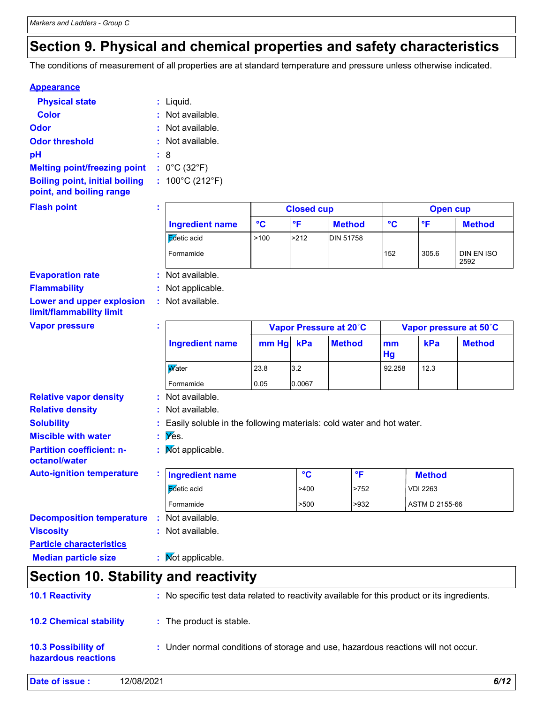### **Section 9. Physical and chemical properties and safety characteristics**

The conditions of measurement of all properties are at standard temperature and pressure unless otherwise indicated.

#### **Appearance**

| <b>Physical state</b>                                             | $:$ Liquid.                          |
|-------------------------------------------------------------------|--------------------------------------|
| <b>Color</b>                                                      | $:$ Not available.                   |
| Odor                                                              | : Not available.                     |
| <b>Odor threshold</b>                                             | : Not available.                     |
| рH                                                                | : 8                                  |
| <b>Melting point/freezing point</b>                               | : $0^{\circ}$ C (32 $^{\circ}$ F)    |
| <b>Boiling point, initial boiling</b><br>point, and boiling range | : $100^{\circ}$ C (212 $^{\circ}$ F) |

#### **Flash point**

| л. |                        | <b>Closed cup</b> |              |                  | Open cup |       |                    |  |
|----|------------------------|-------------------|--------------|------------------|----------|-------|--------------------|--|
|    | <b>Ingredient name</b> | °C                | $^{\circ}$ F | <b>Method</b>    | °C       | ∘⊏    | <b>Method</b>      |  |
|    | Edetic acid            | >100              | >212         | <b>DIN 51758</b> |          |       |                    |  |
|    | Formamide              |                   |              |                  | 152      | 305.6 | DIN EN ISO<br>2592 |  |

#### **Evaporation rate**

**Flammability :** Not applicable.

**:**

**:** Not available.

**:**

**Lower and upper explosion limit/flammability limit**

| <b>Vapor pressure</b> |  |
|-----------------------|--|
|-----------------------|--|

| <b>Vapor pressure</b>                             | ÷.                                                                     |       | Vapor Pressure at 20°C |               |          | Vapor pressure at 50°C |               |  |
|---------------------------------------------------|------------------------------------------------------------------------|-------|------------------------|---------------|----------|------------------------|---------------|--|
|                                                   | <b>Ingredient name</b>                                                 | mm Hg | kPa                    | <b>Method</b> | mm<br>Hg | kPa                    | <b>Method</b> |  |
|                                                   | <b>W</b> ater                                                          | 23.8  | 3.2                    |               | 92.258   | 12.3                   |               |  |
|                                                   | Formamide                                                              | 0.05  | 0.0067                 |               |          |                        |               |  |
| <b>Relative vapor density</b>                     | : Not available.                                                       |       |                        |               |          |                        |               |  |
| <b>Relative density</b>                           | : Not available.                                                       |       |                        |               |          |                        |               |  |
| <b>Solubility</b>                                 | : Easily soluble in the following materials: cold water and hot water. |       |                        |               |          |                        |               |  |
| <b>Miscible with water</b>                        | $\mathbf{y}$ $\mathbf{y}$ $\mathbf{g}$ $\mathbf{g}$                    |       |                        |               |          |                        |               |  |
| <b>Partition coefficient: n-</b><br>octanol/water | : Mot applicable.                                                      |       |                        |               |          |                        |               |  |
| <b>Auto-ignition temperature</b>                  | <b>Ingredient name</b>                                                 |       | $\rm ^{\circ}C$        | $\mathsf{P}$  |          | <b>Method</b>          |               |  |
|                                                   | Edetic acid                                                            |       | >400                   | >752          |          | <b>VDI 2263</b>        |               |  |
|                                                   | Formamide                                                              |       | >500                   | >932          |          | ASTM D 2155-66         |               |  |
| <b>Decomposition temperature</b>                  | $:$ Not available.                                                     |       |                        |               |          |                        |               |  |
| <b>Viscosity</b>                                  | : Not available.                                                       |       |                        |               |          |                        |               |  |
| <b>Particle characteristics</b>                   |                                                                        |       |                        |               |          |                        |               |  |
| <b>Median particle size</b>                       | : Mot applicable.                                                      |       |                        |               |          |                        |               |  |

Т

### **Section 10. Stability and reactivity**

| hazardous reactions            |                                                                                              |  |
|--------------------------------|----------------------------------------------------------------------------------------------|--|
| <b>10.3 Possibility of</b>     | : Under normal conditions of storage and use, hazardous reactions will not occur.            |  |
| <b>10.2 Chemical stability</b> | : The product is stable.                                                                     |  |
| <b>10.1 Reactivity</b>         | : No specific test data related to reactivity available for this product or its ingredients. |  |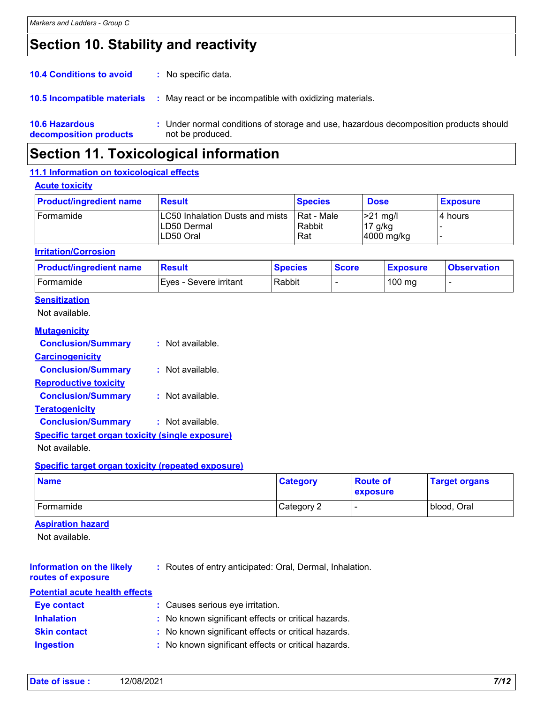### **Section 10. Stability and reactivity**

| <b>10.6 Hazardous</b><br>decomposition products | : Under normal conditions of storage and use, hazardous decomposition products should<br>not be produced. |
|-------------------------------------------------|-----------------------------------------------------------------------------------------------------------|
| <b>10.5 Incompatible materials</b>              | May react or be incompatible with oxidizing materials.<br>÷                                               |
| <b>10.4 Conditions to avoid</b>                 | : No specific data.                                                                                       |

### **Section 11. Toxicological information**

#### **11.1 Information on toxicological effects**

#### **Acute toxicity**

| <b>Product/ingredient name</b> | <b>Result</b>                                                | <b>Species</b>              | <b>Dose</b>                             | <b>Exposure</b> |
|--------------------------------|--------------------------------------------------------------|-----------------------------|-----------------------------------------|-----------------|
| <b>I</b> Formamide             | LC50 Inhalation Dusts and mists<br>ILD50 Dermal<br>LD50 Oral | Rat - Male<br>Rabbit<br>Rat | $\geq$ 21 mg/l<br>17 g/kg<br>4000 mg/kg | I4 hours        |

#### **Irritation/Corrosion**

| <b>Product/ingredient name</b> | <b>Result</b>            | <b>Species</b> | <b>Score</b> | <b>Exposure</b>  | <b>Observation</b> |
|--------------------------------|--------------------------|----------------|--------------|------------------|--------------------|
| <b>Formamide</b>               | I Eves - Severe irritant | Rabbit         |              | $100 \text{ mg}$ |                    |

#### **Sensitization**

Not available.

#### **Mutagenicity**

| <b>Conclusion/Summary</b>                               | : Not available. |
|---------------------------------------------------------|------------------|
| <b>Carcinogenicity</b>                                  |                  |
| <b>Conclusion/Summary</b>                               | : Not available. |
| <b>Reproductive toxicity</b>                            |                  |
| <b>Conclusion/Summary</b>                               | : Not available. |
| <b>Teratogenicity</b>                                   |                  |
| <b>Conclusion/Summary</b>                               | : Not available. |
| <b>Specific target organ toxicity (single exposure)</b> |                  |

#### Not available.

#### **Specific target organ toxicity (repeated exposure)**

| <b>Name</b> | <b>Category</b> | <b>Route of</b><br>exposure | <b>Target organs</b> |
|-------------|-----------------|-----------------------------|----------------------|
| Formamide   | Category 2      |                             | blood, Oral          |

#### **Aspiration hazard**

Not available.

**Information on the likely : Routes of entry anticipated: Oral, Dermal, Inhalation.** 

#### **routes of exposure**

| <b>Potential acute health effects</b> |                                                     |
|---------------------------------------|-----------------------------------------------------|
| <b>Eye contact</b>                    | : Causes serious eye irritation.                    |
| <b>Inhalation</b>                     | : No known significant effects or critical hazards. |
| <b>Skin contact</b>                   | : No known significant effects or critical hazards. |
| <b>Ingestion</b>                      | : No known significant effects or critical hazards. |

| Date of issue: | 12/08/2021 | 7/12 |
|----------------|------------|------|
|----------------|------------|------|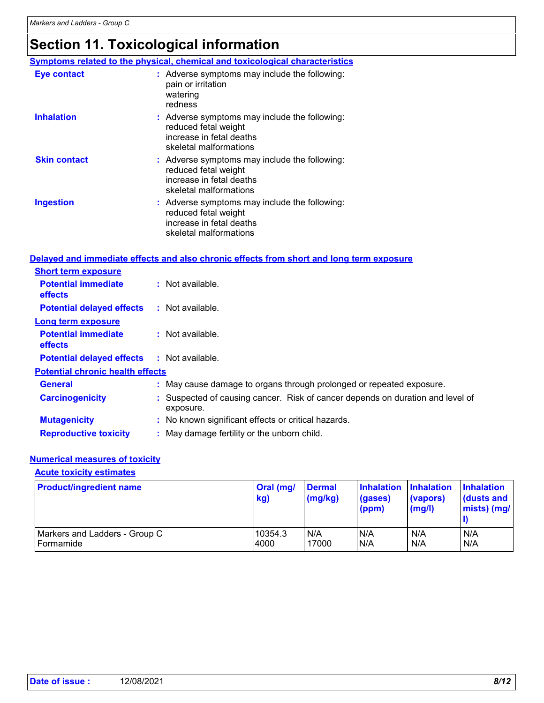### **Section 11. Toxicological information**

|                     | Symptoms related to the physical, chemical and toxicological characteristics                                                  |
|---------------------|-------------------------------------------------------------------------------------------------------------------------------|
| <b>Eye contact</b>  | : Adverse symptoms may include the following:<br>pain or irritation<br>watering<br>redness                                    |
| <b>Inhalation</b>   | : Adverse symptoms may include the following:<br>reduced fetal weight<br>increase in fetal deaths<br>skeletal malformations   |
| <b>Skin contact</b> | $:$ Adverse symptoms may include the following:<br>reduced fetal weight<br>increase in fetal deaths<br>skeletal malformations |
| Ingestion           | : Adverse symptoms may include the following:<br>reduced fetal weight<br>increase in fetal deaths<br>skeletal malformations   |

#### **Delayed and immediate effects and also chronic effects from short and long term exposure**

| <b>Short term exposure</b>                   |                                                                                           |
|----------------------------------------------|-------------------------------------------------------------------------------------------|
| <b>Potential immediate</b><br><b>effects</b> | : Not available.                                                                          |
| <b>Potential delayed effects</b>             | $:$ Not available.                                                                        |
| <b>Long term exposure</b>                    |                                                                                           |
| <b>Potential immediate</b><br><b>effects</b> | : Not available.                                                                          |
| <b>Potential delayed effects</b>             | : Not available.                                                                          |
| <b>Potential chronic health effects</b>      |                                                                                           |
| <b>General</b>                               | : May cause damage to organs through prolonged or repeated exposure.                      |
| <b>Carcinogenicity</b>                       | Suspected of causing cancer. Risk of cancer depends on duration and level of<br>exposure. |
| <b>Mutagenicity</b>                          | : No known significant effects or critical hazards.                                       |
| <b>Reproductive toxicity</b>                 | : May damage fertility or the unborn child.                                               |

#### **Numerical measures of toxicity**

**Acute toxicity estimates**

| <b>Product/ingredient name</b> | Oral (mg/<br>kg) | <b>Dermal</b><br>(mg/kg) | <b>Inhalation</b><br>(gases)<br>(ppm) | Inhalation<br>(vapors)<br>(mg/l) | <b>Inhalation</b><br>dusts and<br>$mists)$ (mg/ |
|--------------------------------|------------------|--------------------------|---------------------------------------|----------------------------------|-------------------------------------------------|
| Markers and Ladders - Group C  | 10354.3          | N/A                      | N/A                                   | N/A                              | N/A                                             |
| Formamide                      | 4000             | 17000                    | N/A                                   | N/A                              | N/A                                             |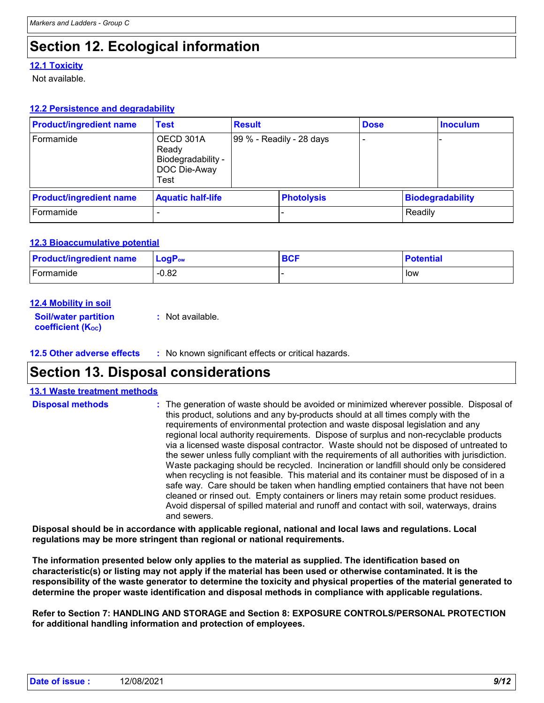### **Section 12. Ecological information**

#### **12.1 Toxicity**

Not available.

#### **12.2 Persistence and degradability**

| <b>Product/ingredient name</b> | <b>Test</b>                                                      | <b>Result</b> |                          | <b>Dose</b> |         | <b>Inoculum</b>         |
|--------------------------------|------------------------------------------------------------------|---------------|--------------------------|-------------|---------|-------------------------|
| Formamide                      | OECD 301A<br>Ready<br>Biodegradability -<br>DOC Die-Away<br>Test |               | 99 % - Readily - 28 days |             |         |                         |
| <b>Product/ingredient name</b> | <b>Aquatic half-life</b>                                         |               | <b>Photolysis</b>        |             |         | <b>Biodegradability</b> |
| Formamide                      |                                                                  |               | -                        |             | Readily |                         |

#### **12.3 Bioaccumulative potential**

| <b>Product/ingredient name</b> | $LogPow$ | <b>BCF</b> | <b>Potential</b> |
|--------------------------------|----------|------------|------------------|
| Formamide                      | $-0.82$  |            | low              |

#### **12.4 Mobility in soil**

**Soil/water partition coefficient (KOC) :** Not available.

**12.5 Other adverse effects :** No known significant effects or critical hazards.

### **Section 13. Disposal considerations**

| <b>13.1 Waste treatment methods</b> |                                                                                                                                                                                                                                                                                                                                                                                                                                                                                                                                                                                                                                                                                                                                                                                                                                                                                                                                                                                                                               |
|-------------------------------------|-------------------------------------------------------------------------------------------------------------------------------------------------------------------------------------------------------------------------------------------------------------------------------------------------------------------------------------------------------------------------------------------------------------------------------------------------------------------------------------------------------------------------------------------------------------------------------------------------------------------------------------------------------------------------------------------------------------------------------------------------------------------------------------------------------------------------------------------------------------------------------------------------------------------------------------------------------------------------------------------------------------------------------|
| <b>Disposal methods</b>             | : The generation of waste should be avoided or minimized wherever possible. Disposal of<br>this product, solutions and any by-products should at all times comply with the<br>requirements of environmental protection and waste disposal legislation and any<br>regional local authority requirements. Dispose of surplus and non-recyclable products<br>via a licensed waste disposal contractor. Waste should not be disposed of untreated to<br>the sewer unless fully compliant with the requirements of all authorities with jurisdiction.<br>Waste packaging should be recycled. Incineration or landfill should only be considered<br>when recycling is not feasible. This material and its container must be disposed of in a<br>safe way. Care should be taken when handling emptied containers that have not been<br>cleaned or rinsed out. Empty containers or liners may retain some product residues.<br>Avoid dispersal of spilled material and runoff and contact with soil, waterways, drains<br>and sewers. |
|                                     |                                                                                                                                                                                                                                                                                                                                                                                                                                                                                                                                                                                                                                                                                                                                                                                                                                                                                                                                                                                                                               |

**Disposal should be in accordance with applicable regional, national and local laws and regulations. Local regulations may be more stringent than regional or national requirements.**

**The information presented below only applies to the material as supplied. The identification based on characteristic(s) or listing may not apply if the material has been used or otherwise contaminated. It is the responsibility of the waste generator to determine the toxicity and physical properties of the material generated to determine the proper waste identification and disposal methods in compliance with applicable regulations.**

**Refer to Section 7: HANDLING AND STORAGE and Section 8: EXPOSURE CONTROLS/PERSONAL PROTECTION for additional handling information and protection of employees.**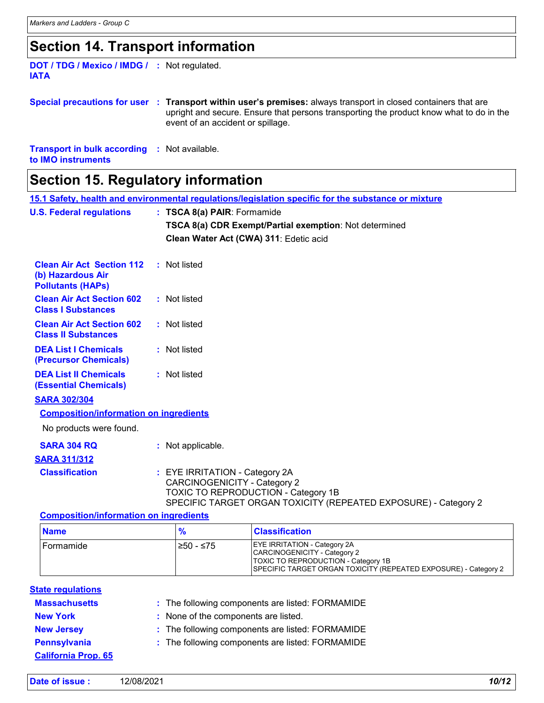### **Section 14. Transport information**

| <b>DOT / TDG / Mexico / IMDG / : Not regulated.</b> |  |
|-----------------------------------------------------|--|
| <b>IATA</b>                                         |  |
|                                                     |  |

**Special precautions for user Transport within user's premises:** always transport in closed containers that are **:** upright and secure. Ensure that persons transporting the product know what to do in the event of an accident or spillage.

**Transport in bulk according :** Not available. **to IMO instruments**

### **Section 15. Regulatory information**

|                                                                                   |  | 15.1 Safety, health and environmental regulations/legislation specific for the substance or mixture                                                                             |
|-----------------------------------------------------------------------------------|--|---------------------------------------------------------------------------------------------------------------------------------------------------------------------------------|
| <b>U.S. Federal regulations</b>                                                   |  | : TSCA 8(a) PAIR: Formamide                                                                                                                                                     |
|                                                                                   |  | TSCA 8(a) CDR Exempt/Partial exemption: Not determined                                                                                                                          |
|                                                                                   |  | Clean Water Act (CWA) 311: Edetic acid                                                                                                                                          |
|                                                                                   |  |                                                                                                                                                                                 |
| <b>Clean Air Act Section 112</b><br>(b) Hazardous Air<br><b>Pollutants (HAPs)</b> |  | : Not listed                                                                                                                                                                    |
| <b>Clean Air Act Section 602</b><br><b>Class I Substances</b>                     |  | : Not listed                                                                                                                                                                    |
| <b>Clean Air Act Section 602</b><br><b>Class II Substances</b>                    |  | : Not listed                                                                                                                                                                    |
| <b>DEA List I Chemicals</b><br>(Precursor Chemicals)                              |  | : Not listed                                                                                                                                                                    |
| <b>DEA List II Chemicals</b><br><b>(Essential Chemicals)</b>                      |  | : Not listed                                                                                                                                                                    |
| <b>SARA 302/304</b>                                                               |  |                                                                                                                                                                                 |
| <b>Composition/information on ingredients</b>                                     |  |                                                                                                                                                                                 |
| No products were found.                                                           |  |                                                                                                                                                                                 |
| <b>SARA 304 RQ</b>                                                                |  | : Not applicable.                                                                                                                                                               |
| <b>SARA 311/312</b>                                                               |  |                                                                                                                                                                                 |
| <b>Classification</b>                                                             |  | : EYE IRRITATION - Category 2A<br><b>CARCINOGENICITY - Category 2</b><br>TOXIC TO REPRODUCTION - Category 1B<br>SPECIFIC TARGET ORGAN TOXICITY (REPEATED EXPOSURE) - Category 2 |
| <b>Composition/information on ingredients</b>                                     |  |                                                                                                                                                                                 |
|                                                                                   |  |                                                                                                                                                                                 |

| <b>Name</b>   |            | <b>Classification</b>                                                                                                                                                                |
|---------------|------------|--------------------------------------------------------------------------------------------------------------------------------------------------------------------------------------|
| l Formamide i | 1≥50 - ≤75 | <b>EYE IRRITATION - Category 2A</b><br>CARCINOGENICITY - Category 2<br>TOXIC TO REPRODUCTION - Category 1B<br><b>SPECIFIC TARGET ORGAN TOXICITY (REPEATED EXPOSURE) - Category 2</b> |

| <b>State regulations</b>   |                                                  |
|----------------------------|--------------------------------------------------|
| <b>Massachusetts</b>       | : The following components are listed: FORMAMIDE |
| <b>New York</b>            | : None of the components are listed.             |
| <b>New Jersey</b>          | : The following components are listed: FORMAMIDE |
| <b>Pennsylvania</b>        | : The following components are listed: FORMAMIDE |
| <b>California Prop. 65</b> |                                                  |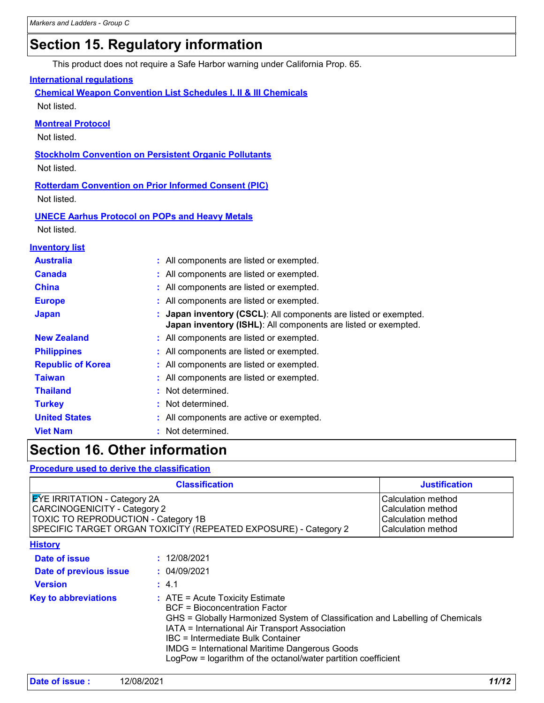### **Section 15. Regulatory information**

This product does not require a Safe Harbor warning under California Prop. 65.

#### **International regulations**

**Chemical Weapon Convention List Schedules I, II & III Chemicals** Not listed.

#### **Montreal Protocol**

Not listed.

**Stockholm Convention on Persistent Organic Pollutants**

Not listed.

**Rotterdam Convention on Prior Informed Consent (PIC)** Not listed.

#### **UNECE Aarhus Protocol on POPs and Heavy Metals**

Not listed.

| <b>Inventory list</b>    |                                                                                                                                                |
|--------------------------|------------------------------------------------------------------------------------------------------------------------------------------------|
| <b>Australia</b>         | : All components are listed or exempted.                                                                                                       |
| <b>Canada</b>            | : All components are listed or exempted.                                                                                                       |
| <b>China</b>             | : All components are listed or exempted.                                                                                                       |
| <b>Europe</b>            | : All components are listed or exempted.                                                                                                       |
| <b>Japan</b>             | <b>Japan inventory (CSCL):</b> All components are listed or exempted.<br><b>Japan inventory (ISHL):</b> All components are listed or exempted. |
| <b>New Zealand</b>       | : All components are listed or exempted.                                                                                                       |
| <b>Philippines</b>       | : All components are listed or exempted.                                                                                                       |
| <b>Republic of Korea</b> | : All components are listed or exempted.                                                                                                       |
| <b>Taiwan</b>            | : All components are listed or exempted.                                                                                                       |
| <b>Thailand</b>          | : Not determined.                                                                                                                              |
| <b>Turkey</b>            | : Not determined.                                                                                                                              |
| <b>United States</b>     | : All components are active or exempted.                                                                                                       |
| <b>Viet Nam</b>          | : Not determined.                                                                                                                              |
|                          |                                                                                                                                                |

### **Section 16. Other information**

**Procedure used to derive the classification**

| <b>Classification</b>                                                                                                                                                                |                                                                                                                                                                                                                                                                                                                                                                            | <b>Justification</b> |
|--------------------------------------------------------------------------------------------------------------------------------------------------------------------------------------|----------------------------------------------------------------------------------------------------------------------------------------------------------------------------------------------------------------------------------------------------------------------------------------------------------------------------------------------------------------------------|----------------------|
| <b>EYE IRRITATION - Category 2A</b><br><b>CARCINOGENICITY - Category 2</b><br>TOXIC TO REPRODUCTION - Category 1B<br>SPECIFIC TARGET ORGAN TOXICITY (REPEATED EXPOSURE) - Category 2 | Calculation method<br>Calculation method<br>Calculation method<br>Calculation method                                                                                                                                                                                                                                                                                       |                      |
| <b>History</b>                                                                                                                                                                       |                                                                                                                                                                                                                                                                                                                                                                            |                      |
| Date of issue                                                                                                                                                                        | : 12/08/2021                                                                                                                                                                                                                                                                                                                                                               |                      |
| Date of previous issue                                                                                                                                                               | : 04/09/2021                                                                                                                                                                                                                                                                                                                                                               |                      |
| <b>Version</b>                                                                                                                                                                       | : 4.1                                                                                                                                                                                                                                                                                                                                                                      |                      |
| <b>Key to abbreviations</b>                                                                                                                                                          | $:$ ATE = Acute Toxicity Estimate<br><b>BCF</b> = Bioconcentration Factor<br>GHS = Globally Harmonized System of Classification and Labelling of Chemicals<br>IATA = International Air Transport Association<br>IBC = Intermediate Bulk Container<br><b>IMDG = International Maritime Dangerous Goods</b><br>LogPow = logarithm of the octanol/water partition coefficient |                      |